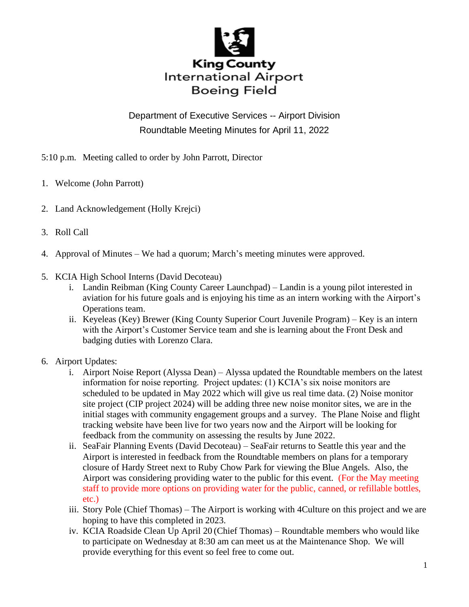

## Department of Executive Services -- Airport Division Roundtable Meeting Minutes for April 11, 2022

- 5:10 p.m. Meeting called to order by John Parrott, Director
- 1. Welcome (John Parrott)
- 2. Land Acknowledgement (Holly Krejci)
- 3. Roll Call
- 4. Approval of Minutes We had a quorum; March's meeting minutes were approved.
- 5. KCIA High School Interns (David Decoteau)
	- i. Landin Reibman (King County Career Launchpad) Landin is a young pilot interested in aviation for his future goals and is enjoying his time as an intern working with the Airport's Operations team.
	- ii. Keyeleas (Key) Brewer (King County Superior Court Juvenile Program) Key is an intern with the Airport's Customer Service team and she is learning about the Front Desk and badging duties with Lorenzo Clara.
- 6. Airport Updates:
	- i. Airport Noise Report (Alyssa Dean) Alyssa updated the Roundtable members on the latest information for noise reporting. Project updates: (1) KCIA's six noise monitors are scheduled to be updated in May 2022 which will give us real time data. (2) Noise monitor site project (CIP project 2024) will be adding three new noise monitor sites, we are in the initial stages with community engagement groups and a survey. The Plane Noise and flight tracking website have been live for two years now and the Airport will be looking for feedback from the community on assessing the results by June 2022.
	- ii. SeaFair Planning Events (David Decoteau) SeaFair returns to Seattle this year and the Airport is interested in feedback from the Roundtable members on plans for a temporary closure of Hardy Street next to Ruby Chow Park for viewing the Blue Angels. Also, the Airport was considering providing water to the public for this event. (For the May meeting staff to provide more options on providing water for the public, canned, or refillable bottles, etc.)
	- iii. Story Pole (Chief Thomas) The Airport is working with 4Culture on this project and we are hoping to have this completed in 2023.
	- iv. KCIA Roadside Clean Up April 20 (Chief Thomas) Roundtable members who would like to participate on Wednesday at 8:30 am can meet us at the Maintenance Shop. We will provide everything for this event so feel free to come out.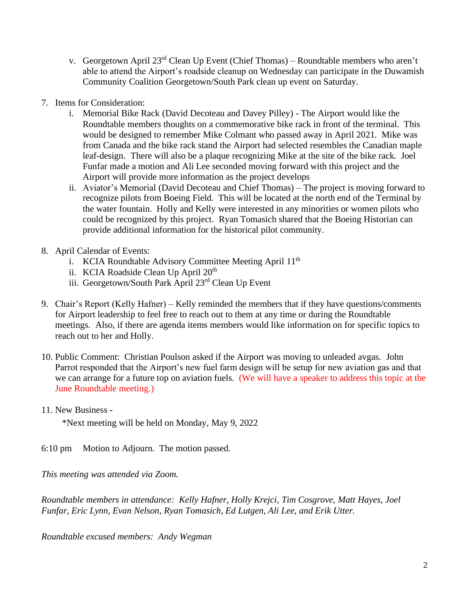- v. Georgetown April  $23<sup>rd</sup>$  Clean Up Event (Chief Thomas) Roundtable members who aren't able to attend the Airport's roadside cleanup on Wednesday can participate in the Duwamish Community Coalition Georgetown/South Park clean up event on Saturday.
- 7. Items for Consideration:
	- i. Memorial Bike Rack (David Decoteau and Davey Pilley) The Airport would like the Roundtable members thoughts on a commemorative bike rack in front of the terminal. This would be designed to remember Mike Colmant who passed away in April 2021. Mike was from Canada and the bike rack stand the Airport had selected resembles the Canadian maple leaf-design. There will also be a plaque recognizing Mike at the site of the bike rack. Joel Funfar made a motion and Ali Lee seconded moving forward with this project and the Airport will provide more information as the project develops
	- ii. Aviator's Memorial (David Decoteau and Chief Thomas) The project is moving forward to recognize pilots from Boeing Field. This will be located at the north end of the Terminal by the water fountain. Holly and Kelly were interested in any minorities or women pilots who could be recognized by this project. Ryan Tomasich shared that the Boeing Historian can provide additional information for the historical pilot community.
- 8. April Calendar of Events:
	- i. KCIA Roundtable Advisory Committee Meeting April  $11<sup>th</sup>$
	- ii. KCIA Roadside Clean Up April 20<sup>th</sup>
	- iii. Georgetown/South Park April 23rd Clean Up Event
- 9. Chair's Report (Kelly Hafner) Kelly reminded the members that if they have questions/comments for Airport leadership to feel free to reach out to them at any time or during the Roundtable meetings. Also, if there are agenda items members would like information on for specific topics to reach out to her and Holly.
- 10. Public Comment: Christian Poulson asked if the Airport was moving to unleaded avgas. John Parrot responded that the Airport's new fuel farm design will be setup for new aviation gas and that we can arrange for a future top on aviation fuels. (We will have a speaker to address this topic at the June Roundtable meeting.)
- 11. New Business -

\*Next meeting will be held on Monday, May 9, 2022

6:10 pm Motion to Adjourn. The motion passed.

*This meeting was attended via Zoom.*

*Roundtable members in attendance: Kelly Hafner, Holly Krejci, Tim Cosgrove, Matt Hayes, Joel Funfar, Eric Lynn, Evan Nelson, Ryan Tomasich, Ed Lutgen, Ali Lee, and Erik Utter.*

*Roundtable excused members: Andy Wegman*